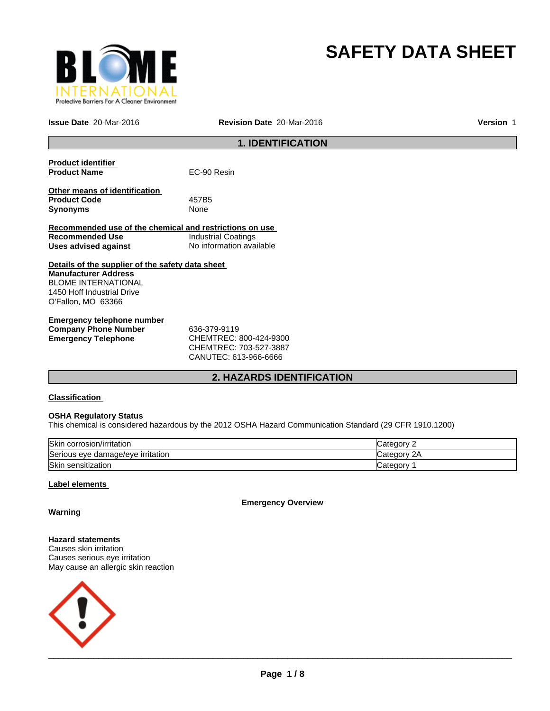

# **SAFETY DATA SHEET**

**Issue Date** 20-Mar-2016 **Revision Date** 20-Mar-2016 **Version** 1

# **1. IDENTIFICATION**

| <b>Product identifier</b>                               |                            |
|---------------------------------------------------------|----------------------------|
| <b>Product Name</b>                                     | EC-90 Resin                |
| Other means of identification                           |                            |
| <b>Product Code</b>                                     | 457B5                      |
|                                                         |                            |
| <b>Synonyms</b>                                         | None                       |
|                                                         |                            |
| Recommended use of the chemical and restrictions on use |                            |
| Recommended Use                                         | <b>Industrial Coatings</b> |
| Uses advised against                                    | No information available   |
|                                                         |                            |
| Details of the supplier of the safety data sheet        |                            |
| <b>Manufacturer Address</b>                             |                            |
| <b>BLOME INTERNATIONAL</b>                              |                            |
| 1450 Hoff Industrial Drive                              |                            |
| O'Fallon, MO 63366                                      |                            |
|                                                         |                            |
| Emergency telephone number                              |                            |

| Elliel delicy telepholie huiliber |                        |  |
|-----------------------------------|------------------------|--|
| <b>Company Phone Number</b>       | 636-379-9119           |  |
| Emergency Telephone               | CHEMTREC: 800-424-9300 |  |
|                                   | CHEMTREC: 703-527-3887 |  |
|                                   |                        |  |

CANUTEC: 613-966-6666

# **2. HAZARDS IDENTIFICATION**

# **Classification**

# **OSHA Regulatory Status**

This chemical is considered hazardous by the 2012 OSHA Hazard Communication Standard (29 CFR 1910.1200)

| Skin corrosion/irritation         | √atedor∪           |
|-----------------------------------|--------------------|
| Serious eye damage/eye irritation | 2A<br>∵ategory: َن |
| Skin sensitization                | ∟ategor⊽           |

# **Label elements**

**Emergency Overview**

**Warning**

**Hazard statements** Causes skin irritation Causes serious eye irritation May cause an allergic skin reaction

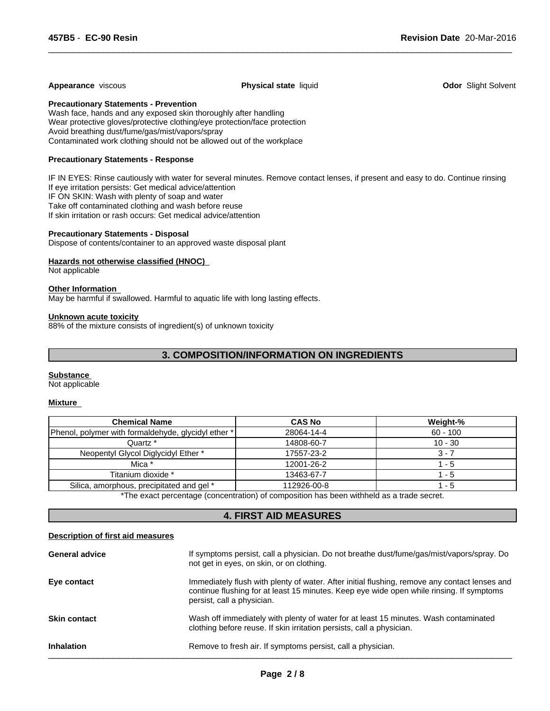#### **Appearance** viscous **Physical state** liquid **Odor** Slight Solvent

 $\overline{\phantom{a}}$  ,  $\overline{\phantom{a}}$  ,  $\overline{\phantom{a}}$  ,  $\overline{\phantom{a}}$  ,  $\overline{\phantom{a}}$  ,  $\overline{\phantom{a}}$  ,  $\overline{\phantom{a}}$  ,  $\overline{\phantom{a}}$  ,  $\overline{\phantom{a}}$  ,  $\overline{\phantom{a}}$  ,  $\overline{\phantom{a}}$  ,  $\overline{\phantom{a}}$  ,  $\overline{\phantom{a}}$  ,  $\overline{\phantom{a}}$  ,  $\overline{\phantom{a}}$  ,  $\overline{\phantom{a}}$ 

**Precautionary Statements - Prevention**

Wash face, hands and any exposed skin thoroughly after handling Wear protective gloves/protective clothing/eye protection/face protection Avoid breathing dust/fume/gas/mist/vapors/spray Contaminated work clothing should not be allowed out of the workplace

# **Precautionary Statements - Response**

IF IN EYES: Rinse cautiously with water for several minutes. Remove contact lenses, if present and easy to do. Continue rinsing If eye irritation persists: Get medical advice/attention IF ON SKIN: Wash with plenty of soap and water Take off contaminated clothing and wash before reuse If skin irritation or rash occurs: Get medical advice/attention

# **Precautionary Statements - Disposal**

Dispose of contents/container to an approved waste disposal plant

#### **Hazards not otherwise classified (HNOC)**

Not applicable

# **Other Information**

May be harmful if swallowed. Harmful to aquatic life with long lasting effects.

#### **Unknown acute toxicity**

88% of the mixture consists of ingredient(s) of unknown toxicity

# **3. COMPOSITION/INFORMATION ON INGREDIENTS**

#### **Substance**

Not applicable

# **Mixture**

| <b>Chemical Name</b>                                | <b>CAS No</b> | Weight-%   |
|-----------------------------------------------------|---------------|------------|
| Phenol, polymer with formaldehyde, glycidyl ether * | 28064-14-4    | $60 - 100$ |
| Quartz *                                            | 14808-60-7    | $10 - 30$  |
| Neopentyl Glycol Diglycidyl Ether *                 | 17557-23-2    | 3 - 7      |
| Mica *                                              | 12001-26-2    | - 5        |
| Titanium dioxide *                                  | 13463-67-7    | - 5        |
| Silica, amorphous, precipitated and gel *           | 112926-00-8   | - 5        |

\*The exact percentage (concentration) of composition has been withheld as a trade secret.

# **4. FIRST AID MEASURES**

#### **Description of first aid measures**

| <b>General advice</b> | If symptoms persist, call a physician. Do not breathe dust/fume/gas/mist/vapors/spray. Do<br>not get in eyes, on skin, or on clothing.                                                                                  |
|-----------------------|-------------------------------------------------------------------------------------------------------------------------------------------------------------------------------------------------------------------------|
| Eye contact           | Immediately flush with plenty of water. After initial flushing, remove any contact lenses and<br>continue flushing for at least 15 minutes. Keep eye wide open while rinsing. If symptoms<br>persist, call a physician. |
| <b>Skin contact</b>   | Wash off immediately with plenty of water for at least 15 minutes. Wash contaminated<br>clothing before reuse. If skin irritation persists, call a physician.                                                           |
| <b>Inhalation</b>     | Remove to fresh air. If symptoms persist, call a physician.                                                                                                                                                             |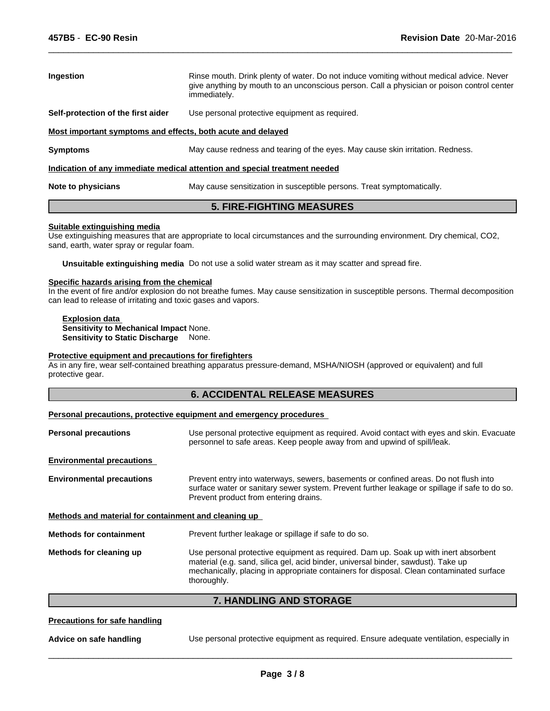| Ingestion                                                   | Rinse mouth. Drink plenty of water. Do not induce vomiting without medical advice. Never<br>give anything by mouth to an unconscious person. Call a physician or poison control center<br>immediately. |
|-------------------------------------------------------------|--------------------------------------------------------------------------------------------------------------------------------------------------------------------------------------------------------|
| Self-protection of the first aider                          | Use personal protective equipment as required.                                                                                                                                                         |
| Most important symptoms and effects, both acute and delayed |                                                                                                                                                                                                        |
| <b>Symptoms</b>                                             | May cause redness and tearing of the eyes. May cause skin irritation. Redness.                                                                                                                         |
|                                                             | Indication of any immediate medical attention and special treatment needed                                                                                                                             |
| Note to physicians                                          | May cause sensitization in susceptible persons. Treat symptomatically.                                                                                                                                 |

 $\overline{\phantom{a}}$  ,  $\overline{\phantom{a}}$  ,  $\overline{\phantom{a}}$  ,  $\overline{\phantom{a}}$  ,  $\overline{\phantom{a}}$  ,  $\overline{\phantom{a}}$  ,  $\overline{\phantom{a}}$  ,  $\overline{\phantom{a}}$  ,  $\overline{\phantom{a}}$  ,  $\overline{\phantom{a}}$  ,  $\overline{\phantom{a}}$  ,  $\overline{\phantom{a}}$  ,  $\overline{\phantom{a}}$  ,  $\overline{\phantom{a}}$  ,  $\overline{\phantom{a}}$  ,  $\overline{\phantom{a}}$ 

# **5. FIRE-FIGHTING MEASURES**

#### **Suitable extinguishing media**

Use extinguishing measures that are appropriate to local circumstances and the surrounding environment. Dry chemical, CO2, sand, earth, water spray or regular foam.

**Unsuitable extinguishing media** Do not use a solid water stream as it may scatter and spread fire.

# **Specific hazards arising from the chemical**

In the event of fire and/or explosion do not breathe fumes. May cause sensitization in susceptible persons. Thermal decomposition can lead to release of irritating and toxic gases and vapors.

**Explosion data Sensitivity to Mechanical Impact** None. **Sensitivity to Static Discharge** None.

#### **Protective equipment and precautions for firefighters**

As in any fire, wear self-contained breathing apparatus pressure-demand, MSHA/NIOSH (approved or equivalent) and full protective gear.

# **6. ACCIDENTAL RELEASE MEASURES**

#### **Personal precautions, protective equipment and emergency procedures**

| <b>Personal precautions</b>                          | Use personal protective equipment as required. Avoid contact with eyes and skin. Evacuate<br>personnel to safe areas. Keep people away from and upwind of spill/leak.                                                                                                               |
|------------------------------------------------------|-------------------------------------------------------------------------------------------------------------------------------------------------------------------------------------------------------------------------------------------------------------------------------------|
| <b>Environmental precautions</b>                     |                                                                                                                                                                                                                                                                                     |
| <b>Environmental precautions</b>                     | Prevent entry into waterways, sewers, basements or confined areas. Do not flush into<br>surface water or sanitary sewer system. Prevent further leakage or spillage if safe to do so.<br>Prevent product from entering drains.                                                      |
| Methods and material for containment and cleaning up |                                                                                                                                                                                                                                                                                     |
| <b>Methods for containment</b>                       | Prevent further leakage or spillage if safe to do so.                                                                                                                                                                                                                               |
| Methods for cleaning up                              | Use personal protective equipment as required. Dam up. Soak up with inert absorbent<br>material (e.g. sand, silica gel, acid binder, universal binder, sawdust). Take up<br>mechanically, placing in appropriate containers for disposal. Clean contaminated surface<br>thoroughly. |

# **7. HANDLING AND STORAGE**

# **Precautions for safe handling**

**Advice on safe handling** Use personal protective equipment as required. Ensure adequate ventilation, especially in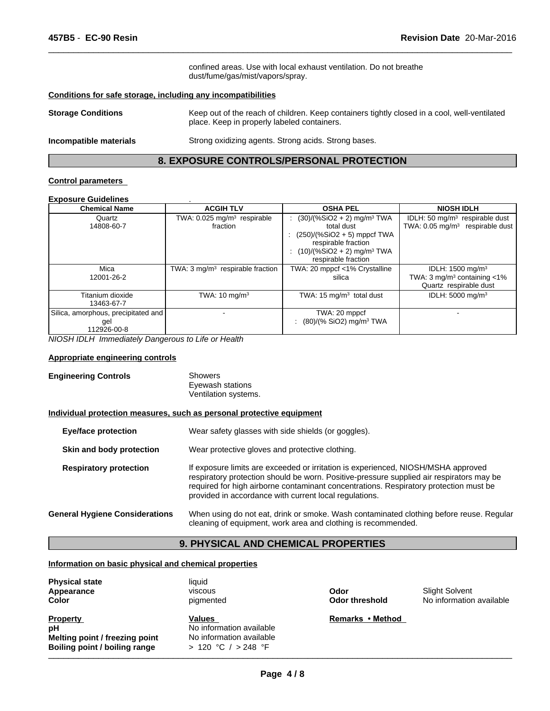confined areas. Use with local exhaust ventilation. Do not breathe dust/fume/gas/mist/vapors/spray.

 $\overline{\phantom{a}}$  ,  $\overline{\phantom{a}}$  ,  $\overline{\phantom{a}}$  ,  $\overline{\phantom{a}}$  ,  $\overline{\phantom{a}}$  ,  $\overline{\phantom{a}}$  ,  $\overline{\phantom{a}}$  ,  $\overline{\phantom{a}}$  ,  $\overline{\phantom{a}}$  ,  $\overline{\phantom{a}}$  ,  $\overline{\phantom{a}}$  ,  $\overline{\phantom{a}}$  ,  $\overline{\phantom{a}}$  ,  $\overline{\phantom{a}}$  ,  $\overline{\phantom{a}}$  ,  $\overline{\phantom{a}}$ 

# **Conditions for safe storage, including any incompatibilities**

| <b>Storage Conditions</b> | Keep out of the reach of children. Keep containers tightly closed in a cool, well-ventilated<br>place. Keep in properly labeled containers. |
|---------------------------|---------------------------------------------------------------------------------------------------------------------------------------------|
|                           |                                                                                                                                             |

**Incompatible materials** Strong oxidizing agents. Strong acids. Strong bases.

# **8. EXPOSURE CONTROLS/PERSONAL PROTECTION**

# **Control parameters**

# **Exposure Guidelines** .

| =^~~~~~~~~~~~~~~~                                         |                                                     |                                                                                                                                                                                   |                                                                                                      |
|-----------------------------------------------------------|-----------------------------------------------------|-----------------------------------------------------------------------------------------------------------------------------------------------------------------------------------|------------------------------------------------------------------------------------------------------|
| <b>Chemical Name</b>                                      | <b>ACGIH TLV</b>                                    | <b>OSHA PEL</b>                                                                                                                                                                   | <b>NIOSH IDLH</b>                                                                                    |
| Quartz<br>14808-60-7                                      | TWA: 0.025 mg/m <sup>3</sup> respirable<br>fraction | $(30)/(%SiO2 + 2)$ mg/m <sup>3</sup> TWA<br>total dust<br>$(250)/(%SiO2 + 5)$ mppcf TWA<br>respirable fraction<br>$(10)/(%SiO2 + 2)$ mg/m <sup>3</sup> TWA<br>respirable fraction | IDLH: 50 $mg/m3$ respirable dust<br>TWA: $0.05 \text{ mg/m}^3$ respirable dust                       |
| Mica<br>12001-26-2                                        | TWA: $3 \text{ mg/m}^3$ respirable fraction         | TWA: 20 mppcf <1% Crystalline<br>silica                                                                                                                                           | IDLH: 1500 mg/m <sup>3</sup><br>TWA: $3 \text{ mg/m}^3$ containing $< 1\%$<br>Quartz respirable dust |
| Titanium dioxide<br>13463-67-7                            | TWA: $10 \text{ mg/m}^3$                            | TWA: $15 \text{ mg/m}^3$ total dust                                                                                                                                               | IDLH: 5000 mg/m <sup>3</sup>                                                                         |
| Silica, amorphous, precipitated and<br>gel<br>112926-00-8 |                                                     | TWA: 20 mppcf<br>: $(80)/(%$ SiO2) mg/m <sup>3</sup> TWA                                                                                                                          |                                                                                                      |

*NIOSH IDLH Immediately Dangerous to Life or Health*

# **Appropriate engineering controls**

| <b>Engineering Controls</b> | Showers              |
|-----------------------------|----------------------|
|                             | Eyewash stations     |
|                             | Ventilation systems. |

#### **Individual protection measures, such as personal protective equipment**

| <b>Eye/face protection</b>            | Wear safety glasses with side shields (or goggles).                                                                                                                                                                                                                                                                              |
|---------------------------------------|----------------------------------------------------------------------------------------------------------------------------------------------------------------------------------------------------------------------------------------------------------------------------------------------------------------------------------|
| Skin and body protection              | Wear protective gloves and protective clothing.                                                                                                                                                                                                                                                                                  |
| <b>Respiratory protection</b>         | If exposure limits are exceeded or irritation is experienced, NIOSH/MSHA approved<br>respiratory protection should be worn. Positive-pressure supplied air respirators may be<br>required for high airborne contaminant concentrations. Respiratory protection must be<br>provided in accordance with current local regulations. |
| <b>General Hygiene Considerations</b> | When using do not eat, drink or smoke. Wash contaminated clothing before reuse. Regular<br>cleaning of equipment, work area and clothing is recommended.                                                                                                                                                                         |

# **9. PHYSICAL AND CHEMICAL PROPERTIES**

# **Information on basic physical and chemical properties**

| <b>Physical state</b><br>Appearance<br><b>Color</b>                                      | liauid<br>viscous<br>pigmented                                                        | Odor<br>Odor threshold | Slight Solvent<br>No information available |  |
|------------------------------------------------------------------------------------------|---------------------------------------------------------------------------------------|------------------------|--------------------------------------------|--|
| <b>Property</b><br>рH<br>Melting point / freezing point<br>Boiling point / boiling range | Values<br>No information available<br>No information available<br>> 120 °C / > 248 °F | Remarks • Method       |                                            |  |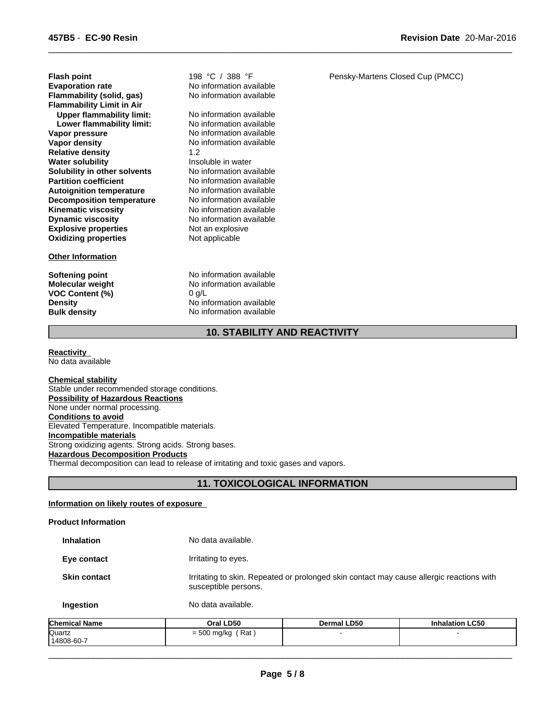**Explosive properties** Not an explosive<br> **Oxidizing properties** Not applicable **Oxidizing properties Vapor density No information available Relative density** 1.2 **Flammability (solid, gas)** No information available **Water solubility Insoluble in water Solubility in other solvents** No information available<br> **Partition coefficient** No information available **Flash point**<br>**Evaporation rate 198** °C / 388 °F<br>**Evaporation rate 198** No information ave **Flammability Limit in Air**<br>**Upper flammability limit:** No information available **Autoignition temperature** No information available<br> **Decomposition temperature** No information available **Decomposition temperature** No information available<br> **Kinematic viscosity** No information available **Kinematic viscosity<br>Dynamic viscosity Upper flammability limit:** No information available<br> **Lower flammability limit:** No information available **Lower flammability limit:**<br>Vapor pressure

# **Other Information**

**VOC Content (%)** 

**No information available No information available** 

No information available<br>No information available **No information available** 

**Softening point** No information available **Molecular weight** No information available<br> **VOC Content (%)** 0 g/L **Density** No information available **Bulk density** No information available Pensky-Martens Closed Cup (PMCC)

 $\overline{\phantom{a}}$  ,  $\overline{\phantom{a}}$  ,  $\overline{\phantom{a}}$  ,  $\overline{\phantom{a}}$  ,  $\overline{\phantom{a}}$  ,  $\overline{\phantom{a}}$  ,  $\overline{\phantom{a}}$  ,  $\overline{\phantom{a}}$  ,  $\overline{\phantom{a}}$  ,  $\overline{\phantom{a}}$  ,  $\overline{\phantom{a}}$  ,  $\overline{\phantom{a}}$  ,  $\overline{\phantom{a}}$  ,  $\overline{\phantom{a}}$  ,  $\overline{\phantom{a}}$  ,  $\overline{\phantom{a}}$ 

# **10. STABILITY AND REACTIVITY**

**Reactivity**  No data available

**Chemical stability** Stable under recommended storage conditions. **Possibility of Hazardous Reactions** None under normal processing. **Conditions to avoid** Elevated Temperature. Incompatible materials. **Incompatible materials** Strong oxidizing agents. Strong acids. Strong bases. **Hazardous Decomposition Products** Thermal decomposition can lead to release of irritating and toxic gases and vapors.

# **11. TOXICOLOGICAL INFORMATION**

# **Information on likely routes of exposure**

# **Product Information**

| <b>Inhalation</b>   | No data available.                                                                                               |
|---------------------|------------------------------------------------------------------------------------------------------------------|
| Eye contact         | Irritating to eyes.                                                                                              |
| <b>Skin contact</b> | Irritating to skin. Repeated or prolonged skin contact may cause allergic reactions with<br>susceptible persons. |
| Ingestion           | No data available.                                                                                               |

| <b>Chemical Name</b> | Oral LD50                  | Dermal LD50 | <b>Inhalation LC50</b> |
|----------------------|----------------------------|-------------|------------------------|
| Quartz               | Rat<br>rno.<br>= 500 mg/kg |             |                        |
| 14808-60-7           |                            |             |                        |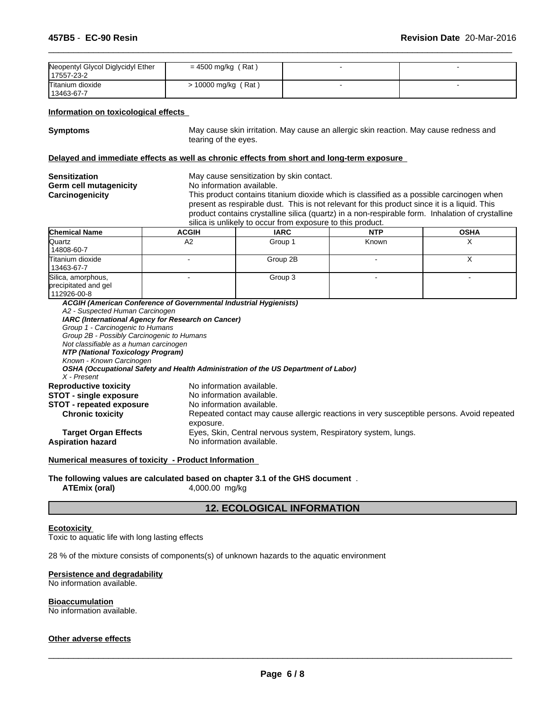| Neopentyl Glycol Diglycidyl Ether<br>17557-23-2 | $= 4500$ mg/kg (Rat) |  |
|-------------------------------------------------|----------------------|--|
| Titanium dioxide<br>13463-67-7                  | > 10000 mg/kg (Rat)  |  |

#### **Information on toxicological effects**

**Symptoms** May cause skin irritation. May cause an allergic skin reaction. May cause redness and tearing of the eyes.

 $\overline{\phantom{a}}$  ,  $\overline{\phantom{a}}$  ,  $\overline{\phantom{a}}$  ,  $\overline{\phantom{a}}$  ,  $\overline{\phantom{a}}$  ,  $\overline{\phantom{a}}$  ,  $\overline{\phantom{a}}$  ,  $\overline{\phantom{a}}$  ,  $\overline{\phantom{a}}$  ,  $\overline{\phantom{a}}$  ,  $\overline{\phantom{a}}$  ,  $\overline{\phantom{a}}$  ,  $\overline{\phantom{a}}$  ,  $\overline{\phantom{a}}$  ,  $\overline{\phantom{a}}$  ,  $\overline{\phantom{a}}$ 

# **Delayed and immediate effects as well as chronic effects from short and long-term exposure**

| No information available.<br>This product contains titanium dioxide which is classified as a possible carcinogen when<br>present as respirable dust. This is not relevant for this product since it is a liquid. This<br>silica is unlikely to occur from exposure to this product.<br><b>OSHA</b><br><b>IARC</b><br><b>NTP</b><br>ACGIH | Sensitization          | May cause sensitization by skin contact.                                                         |  |  |  |  |  |
|------------------------------------------------------------------------------------------------------------------------------------------------------------------------------------------------------------------------------------------------------------------------------------------------------------------------------------------|------------------------|--------------------------------------------------------------------------------------------------|--|--|--|--|--|
|                                                                                                                                                                                                                                                                                                                                          | Germ cell mutagenicity |                                                                                                  |  |  |  |  |  |
|                                                                                                                                                                                                                                                                                                                                          | <b>Carcinogenicity</b> | product contains crystalline silica (quartz) in a non-respirable form. Inhalation of crystalline |  |  |  |  |  |
|                                                                                                                                                                                                                                                                                                                                          | <b>Chemical Name</b>   |                                                                                                  |  |  |  |  |  |

| <b>NIGHT</b>                                              | <b>AVVIII</b> | <b>INV</b> | .     |           |
|-----------------------------------------------------------|---------------|------------|-------|-----------|
| Quartz<br>14808-60-7                                      | A2            | Group 1    | Known |           |
| Titanium dioxide<br>13463-67-7                            |               | Group 2B   |       | $\lambda$ |
| Silica, amorphous,<br>precipitated and gel<br>112926-00-8 |               | Group 3    |       |           |

| ACGIH (American Conference of Governmental Industrial Hygienists) |                                                                                                        |
|-------------------------------------------------------------------|--------------------------------------------------------------------------------------------------------|
| A2 - Suspected Human Carcinogen                                   |                                                                                                        |
| IARC (International Agency for Research on Cancer)                |                                                                                                        |
| Group 1 - Carcinogenic to Humans                                  |                                                                                                        |
| Group 2B - Possibly Carcinogenic to Humans                        |                                                                                                        |
| Not classifiable as a human carcinogen                            |                                                                                                        |
| NTP (National Toxicology Program)                                 |                                                                                                        |
| Known - Known Carcinogen                                          |                                                                                                        |
|                                                                   | OSHA (Occupational Safety and Health Administration of the US Department of Labor)                     |
| $X$ - Present                                                     |                                                                                                        |
| <b>Reproductive toxicity</b>                                      | No information available.                                                                              |
| <b>STOT - single exposure</b>                                     | No information available.                                                                              |
| <b>STOT</b> - repeated exposure                                   | No information available.                                                                              |
| <b>Chronic toxicity</b>                                           | Repeated contact may cause allergic reactions in very susceptible persons. Avoid repeated<br>exposure. |
| <b>Target Organ Effects</b>                                       | Eyes, Skin, Central nervous system, Respiratory system, lungs.                                         |
| <b>Aspiration hazard</b>                                          | No information available.                                                                              |

**Numerical measures of toxicity - Product Information** 

**The following values are calculated based on chapter 3.1 of the GHS document** . **ATEmix (oral)** 4,000.00 mg/kg

# **12. ECOLOGICAL INFORMATION**

# **Ecotoxicity**

Toxic to aquatic life with long lasting effects

28 % of the mixture consists of components(s) of unknown hazards to the aquatic environment

#### **Persistence and degradability**

No information available.

#### **Bioaccumulation**

No information available.

# **Other adverse effects**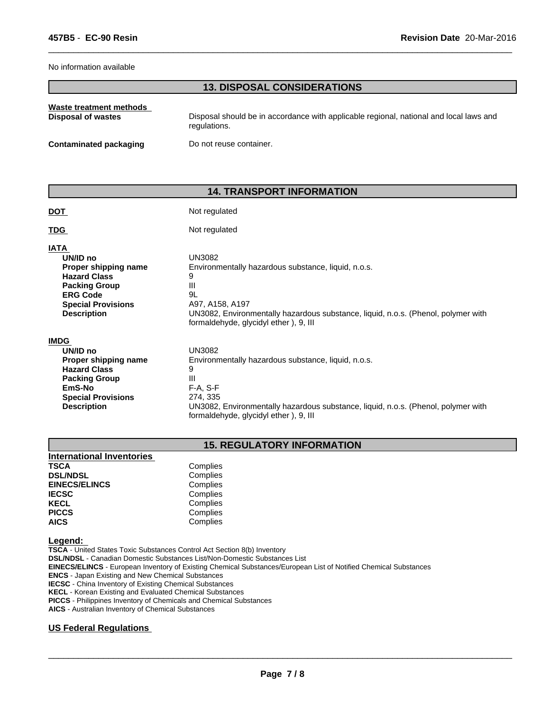#### No information available

# **13. DISPOSAL CONSIDERATIONS**

 $\overline{\phantom{a}}$  ,  $\overline{\phantom{a}}$  ,  $\overline{\phantom{a}}$  ,  $\overline{\phantom{a}}$  ,  $\overline{\phantom{a}}$  ,  $\overline{\phantom{a}}$  ,  $\overline{\phantom{a}}$  ,  $\overline{\phantom{a}}$  ,  $\overline{\phantom{a}}$  ,  $\overline{\phantom{a}}$  ,  $\overline{\phantom{a}}$  ,  $\overline{\phantom{a}}$  ,  $\overline{\phantom{a}}$  ,  $\overline{\phantom{a}}$  ,  $\overline{\phantom{a}}$  ,  $\overline{\phantom{a}}$ 

| Waste treatment methods   | Disposal should be in accordance with applicable regional, national and local laws and |
|---------------------------|----------------------------------------------------------------------------------------|
| <b>Disposal of wastes</b> | regulations.                                                                           |
| Contaminated packaging    | Do not reuse container.                                                                |

# **14. TRANSPORT INFORMATION**

| <b>DOT</b>                                                                                                                                                           | Not regulated                                                                                                                                                                                                                   |
|----------------------------------------------------------------------------------------------------------------------------------------------------------------------|---------------------------------------------------------------------------------------------------------------------------------------------------------------------------------------------------------------------------------|
| <b>TDG</b>                                                                                                                                                           | Not regulated                                                                                                                                                                                                                   |
| <b>IATA</b><br>UN/ID no<br>Proper shipping name<br><b>Hazard Class</b><br><b>Packing Group</b><br><b>ERG Code</b><br><b>Special Provisions</b><br><b>Description</b> | UN3082<br>Environmentally hazardous substance, liquid, n.o.s.<br>9<br>Ш<br>9L<br>A97, A158, A197<br>UN3082, Environmentally hazardous substance, liquid, n.o.s. (Phenol, polymer with<br>formaldehyde, glycidyl ether), 9, III  |
| <b>IMDG</b><br>UN/ID no<br>Proper shipping name<br><b>Hazard Class</b><br><b>Packing Group</b><br>EmS-No<br><b>Special Provisions</b><br><b>Description</b>          | UN3082<br>Environmentally hazardous substance, liquid, n.o.s.<br>9<br>Ш<br>$F-A, S-F$<br>274, 335<br>UN3082, Environmentally hazardous substance, liquid, n.o.s. (Phenol, polymer with<br>formaldehyde, glycidyl ether), 9, III |

# **15. REGULATORY INFORMATION**

| Complies |  |
|----------|--|
| Complies |  |
| Complies |  |
| Complies |  |
| Complies |  |
| Complies |  |
| Complies |  |
|          |  |

#### **Legend:**

**TSCA** - United States Toxic Substances Control Act Section 8(b) Inventory **DSL/NDSL** - Canadian Domestic Substances List/Non-Domestic Substances List **EINECS/ELINCS** - European Inventory of Existing Chemical Substances/European List of Notified Chemical Substances **ENCS** - Japan Existing and New Chemical Substances **IECSC** - China Inventory of Existing Chemical Substances **KECL** - Korean Existing and Evaluated Chemical Substances **PICCS** - Philippines Inventory of Chemicals and Chemical Substances

**AICS** - Australian Inventory of Chemical Substances

# **US Federal Regulations**